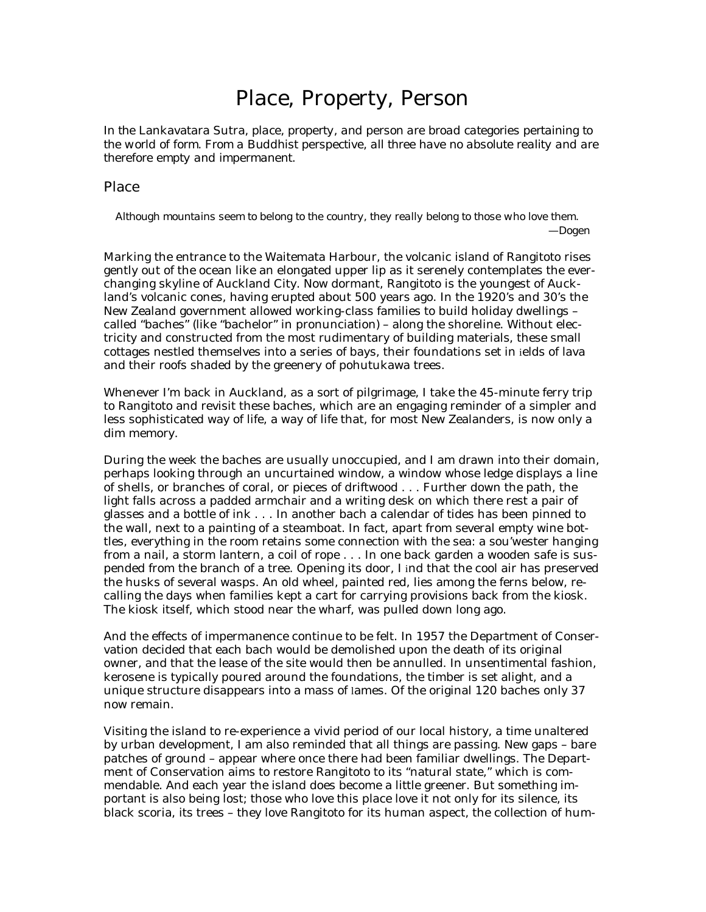## Place, Property, Person

*In the* Lankavatara Sutra*, place, property, and person are broad categories pertaining to the world of form. From a Buddhist perspective, all three have no absolute reality and are therefore empty and impermanent.*

## Place

*Although mountains seem to belong to the country, they really belong to those who love them*. *—Dogen*

Marking the entrance to the Waitemata Harbour, the volcanic island of Rangitoto rises gently out of the ocean like an elongated upper lip as it serenely contemplates the everchanging skyline of Auckland City. Now dormant, Rangitoto is the youngest of Auckland's volcanic cones, having erupted about 500 years ago. In the 1920's and 30's the New Zealand government allowed working-class families to build holiday dwellings – called "baches" (like "bachelor" in pronunciation) – along the shoreline. Without electricity and constructed from the most rudimentary of building materials, these small cottages nestled themselves into a series of bays, their foundations set in ields of lava and their roofs shaded by the greenery of pohutukawa trees.

Whenever I'm back in Auckland, as a sort of pilgrimage, I take the 45-minute ferry trip to Rangitoto and revisit these baches, which are an engaging reminder of a simpler and less sophisticated way of life, a way of life that, for most New Zealanders, is now only a dim memory.

During the week the baches are usually unoccupied, and I am drawn into their domain, perhaps looking through an uncurtained window, a window whose ledge displays a line of shells, or branches of coral, or pieces of driftwood . . . Further down the path, the light falls across a padded armchair and a writing desk on which there rest a pair of glasses and a bottle of ink . . . In another bach a calendar of tides has been pinned to the wall, next to a painting of a steamboat. In fact, apart from several empty wine bottles, everything in the room retains some connection with the sea: a sou'wester hanging from a nail, a storm lantern, a coil of rope . . . In one back garden a wooden safe is suspended from the branch of a tree. Opening its door, I ind that the cool air has preserved the husks of several wasps. An old wheel, painted red, lies among the ferns below, recalling the days when families kept a cart for carrying provisions back from the kiosk. The kiosk itself, which stood near the wharf, was pulled down long ago.

And the effects of impermanence continue to be felt. In 1957 the Department of Conservation decided that each bach would be demolished upon the death of its original owner, and that the lease of the site would then be annulled. In unsentimental fashion, kerosene is typically poured around the foundations, the timber is set alight, and a unique structure disappears into a mass of lames. Of the original 120 baches only 37 now remain.

Visiting the island to re-experience a vivid period of our local history, a time unaltered by urban development, I am also reminded that all things are passing. New gaps – bare patches of ground – appear where once there had been familiar dwellings. The Department of Conservation aims to restore Rangitoto to its "natural state," which is commendable. And each year the island does become a little greener. But something important is also being lost; those who love this place love it not only for its silence, its black scoria, its trees – they love Rangitoto for its human aspect, the collection of hum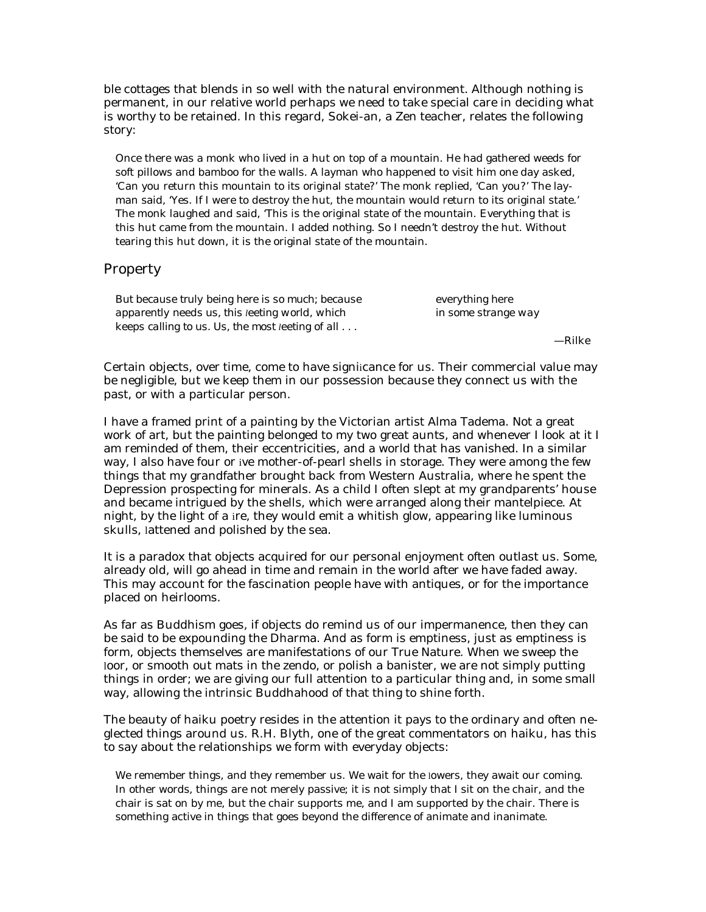ble cottages that blends in so well with the natural environment. Although nothing is permanent, in our relative world perhaps we need to take special care in deciding what is worthy to be retained. In this regard, Sokei-an, a Zen teacher, relates the following story:

Once there was a monk who lived in a hut on top of a mountain. He had gathered weeds for soft pillows and bamboo for the walls. A layman who happened to visit him one day asked, 'Can you return this mountain to its original state?' The monk replied, 'Can you?' The layman said, 'Yes. If I were to destroy the hut, the mountain would return to its original state.' The monk laughed and said, 'This is the original state of the mountain. Everything that is this hut came from the mountain. I added nothing. So I needn't destroy the hut. Without tearing this hut down, it is the original state of the mountain.

## Property

| But because truly being here is so much; because          | everything here     |
|-----------------------------------------------------------|---------------------|
| apparently needs us, this leeting world, which            | in some strange way |
| keeps calling to us. Us, the most leeting of all $\ldots$ |                     |

—Rilke

Certain objects, over time, come to have signiicance for us. Their commercial value may be negligible, but we keep them in our possession because they connect us with the past, or with a particular person.

I have a framed print of a painting by the Victorian artist Alma Tadema. Not a great work of art, but the painting belonged to my two great aunts, and whenever I look at it I am reminded of them, their eccentricities, and a world that has vanished. In a similar way, I also have four or ive mother-of-pearl shells in storage. They were among the few things that my grandfather brought back from Western Australia, where he spent the Depression prospecting for minerals. As a child I often slept at my grandparents' house and became intrigued by the shells, which were arranged along their mantelpiece. At night, by the light of a ire, they would emit a whitish glow, appearing like luminous skulls, lattened and polished by the sea.

It is a paradox that objects acquired for our personal enjoyment often outlast us. Some, already old, will go ahead in time and remain in the world after we have faded away. This may account for the fascination people have with antiques, or for the importance placed on heirlooms.

As far as Buddhism goes, if objects do remind us of our impermanence, then they can be said to be expounding the Dharma. And as form is emptiness, just as emptiness is form, objects themselves are manifestations of our True Nature. When we sweep the loor, or smooth out mats in the zendo, or polish a banister, we are not simply putting things in order; we are giving our full attention to a particular thing and, in some small way, allowing the intrinsic Buddhahood of that thing to shine forth.

The beauty of haiku poetry resides in the attention it pays to the ordinary and often neglected things around us. R.H. Blyth, one of the great commentators on haiku, has this to say about the relationships we form with everyday objects:

We remember things, and they remember us. We wait for the lowers, they await our coming. In other words, things are not merely passive; it is not simply that I sit on the chair, and the chair is sat on by me, but the chair supports me, and I am supported by the chair. There is something active in things that goes beyond the difference of animate and inanimate.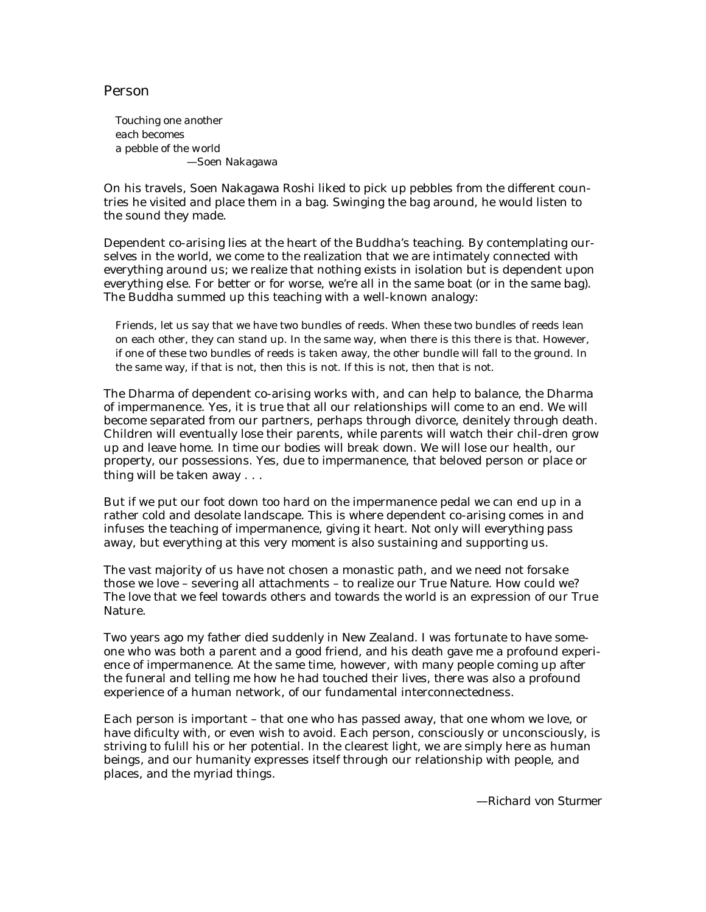## Person

*Touching one another each becomes a pebble of the world* —Soen Nakagawa

On his travels, Soen Nakagawa Roshi liked to pick up pebbles from the different countries he visited and place them in a bag. Swinging the bag around, he would listen to the sound they made.

Dependent co-arising lies at the heart of the Buddha's teaching. By contemplating ourselves in the world, we come to the realization that we are intimately connected with everything around us; we realize that nothing exists in isolation but is dependent upon everything else. For better or for worse, we're all in the same boat (or in the same bag). The Buddha summed up this teaching with a well-known analogy:

Friends, let us say that we have two bundles of reeds. When these two bundles of reeds lean on each other, they can stand up. In the same way, when there is this there is that. However, if one of these two bundles of reeds is taken away, the other bundle will fall to the ground. In the same way, if that is not, then this is not. If this is not, then that is not.

The Dharma of dependent co-arising works with, and can help to balance, the Dharma of impermanence. Yes, it is true that all our relationships will come to an end. We will become separated from our partners, perhaps through divorce, deinitely through death. Children will eventually lose their parents, while parents will watch their chil-dren grow up and leave home. In time our bodies will break down. We will lose our health, our property, our possessions. Yes, due to impermanence, that beloved person or place or thing will be taken away . . .

But if we put our foot down too hard on the impermanence pedal we can end up in a rather cold and desolate landscape. This is where dependent co-arising comes in and infuses the teaching of impermanence, giving it heart. Not only will everything pass away, but everything *at this very moment* is also sustaining and supporting us.

The vast majority of us have not chosen a monastic path, and we need not forsake those we love – severing all attachments – to realize our True Nature. How could we? The love that we feel towards others and towards the world *is* an expression of our True Nature.

Two years ago my father died suddenly in New Zealand. I was fortunate to have someone who was both a parent and a good friend, and his death gave me a profound experience of impermanence. At the same time, however, with many people coming up after the funeral and telling me how he had touched their lives, there was also a profound experience of a human network, of our fundamental interconnectedness.

Each person is important – that one who has passed away, that one whom we love, or have dificulty with, or even wish to avoid. Each person, consciously or unconsciously, is striving to fulill his or her potential. In the clearest light, we are simply here as human beings, and our humanity expresses itself through our relationship with people, and places, and the myriad things.

*—Richard von Sturmer*